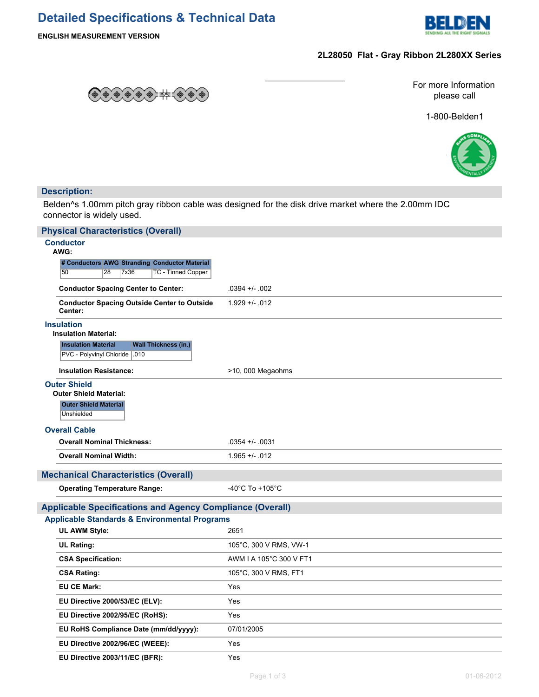# **Detailed Specifications & Technical Data**



**ENGLISH MEASUREMENT VERSION**

## **2L28050 Flat - Gray Ribbon 2L280XX Series**



For more Information please call

1-800-Belden1



## **Description:**

Belden^s 1.00mm pitch gray ribbon cable was designed for the disk drive market where the 2.00mm IDC connector is widely used.

| <b>Physical Characteristics (Overall)</b>                                                   |                         |
|---------------------------------------------------------------------------------------------|-------------------------|
| <b>Conductor</b>                                                                            |                         |
| AWG:<br># Conductors AWG Stranding Conductor Material                                       |                         |
| 50<br>28<br>7x36<br><b>TC - Tinned Copper</b>                                               |                         |
| <b>Conductor Spacing Center to Center:</b>                                                  | $.0394 +/- .002$        |
| <b>Conductor Spacing Outside Center to Outside</b><br>Center:                               | $1.929 + - .012$        |
| <b>Insulation</b><br><b>Insulation Material:</b>                                            |                         |
| <b>Insulation Material</b><br><b>Wall Thickness (in.)</b><br>PVC - Polyvinyl Chloride   010 |                         |
| <b>Insulation Resistance:</b>                                                               | >10, 000 Megaohms       |
| <b>Outer Shield</b><br><b>Outer Shield Material:</b>                                        |                         |
| <b>Outer Shield Material</b>                                                                |                         |
| Unshielded                                                                                  |                         |
| <b>Overall Cable</b>                                                                        |                         |
| <b>Overall Nominal Thickness:</b>                                                           | $.0354 +/- .0031$       |
| <b>Overall Nominal Width:</b>                                                               | $1.965 +/- 012$         |
| <b>Mechanical Characteristics (Overall)</b>                                                 |                         |
| <b>Operating Temperature Range:</b>                                                         | -40°C To +105°C         |
| <b>Applicable Specifications and Agency Compliance (Overall)</b>                            |                         |
| <b>Applicable Standards &amp; Environmental Programs</b>                                    |                         |
| <b>UL AWM Style:</b>                                                                        | 2651                    |
| <b>UL Rating:</b>                                                                           | 105°C, 300 V RMS, VW-1  |
| <b>CSA Specification:</b>                                                                   | AWM I A 105°C 300 V FT1 |
| <b>CSA Rating:</b>                                                                          | 105°C, 300 V RMS, FT1   |
| <b>EU CE Mark:</b>                                                                          | Yes                     |
| EU Directive 2000/53/EC (ELV):                                                              | Yes                     |
| EU Directive 2002/95/EC (RoHS):                                                             | Yes                     |
| EU RoHS Compliance Date (mm/dd/yyyy):                                                       | 07/01/2005              |
| EU Directive 2002/96/EC (WEEE):                                                             | Yes                     |
| EU Directive 2003/11/EC (BFR):                                                              | Yes                     |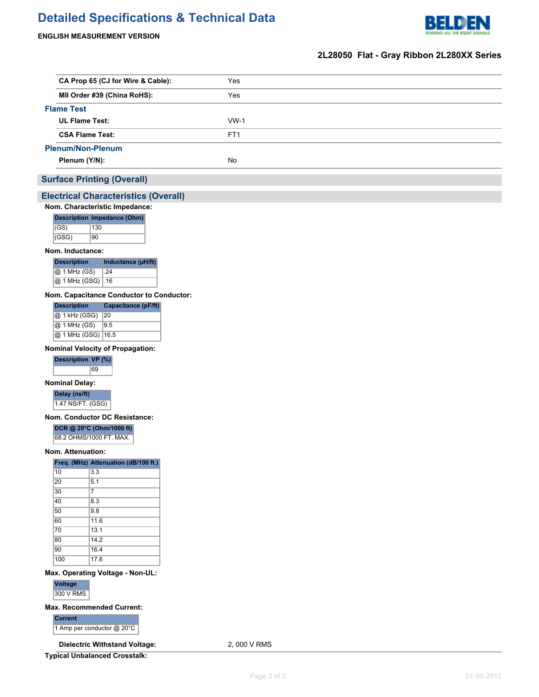# **Detailed Specifications & Technical Data**



### **ENGLISH MEASUREMENT VERSION**

## **2L28050 Flat - Gray Ribbon 2L280XX Series**

| CA Prop 65 (CJ for Wire & Cable): | Yes             |  |
|-----------------------------------|-----------------|--|
| MII Order #39 (China RoHS):       | Yes             |  |
| <b>Flame Test</b>                 |                 |  |
| <b>UL Flame Test:</b>             | $WW-1$          |  |
| <b>CSA Flame Test:</b>            | FT <sub>1</sub> |  |
| <b>Plenum/Non-Plenum</b>          |                 |  |
| Plenum (Y/N):                     | No.             |  |
|                                   |                 |  |

## **Surface Printing (Overall)**

#### **Electrical Characteristics (Overall)**

#### **Nom. Characteristic Impedance:**

|       | Description Impedance (Ohm) |  |
|-------|-----------------------------|--|
| (GS)  | 130                         |  |
| (GSG) | 90                          |  |

#### **Nom. Inductance:**

| <b>Description</b>  | Inductance (µH/ft) |  |  |
|---------------------|--------------------|--|--|
| @ 1 MHz (GS)        | $\vert .24 \vert$  |  |  |
| @ 1 MHz (GSG)   .16 |                    |  |  |

#### **Nom. Capacitance Conductor to Conductor:**

| <b>Description</b>   | Capacitance (pF/ft) |
|----------------------|---------------------|
| @ 1 kHz (GSG)        | 20                  |
| @ 1 MHz (GS)         | 9.5                 |
| @ 1 MHz (GSG)   16.5 |                     |

#### **Nominal Velocity of Propagation:**



#### **Nominal Delay:**

**Delay (ns/ft)** 1.47 NS/FT. (GSG)

#### **Nom. Conductor DC Resistance:**

#### **DCR @ 20°C (Ohm/1000 ft)**

68.2 OHMS/1000 FT. MAX.

#### **Nom. Attenuation:**

|     | Freq. (MHz) Attenuation (dB/100 ft.) |
|-----|--------------------------------------|
| 10  | 3.3                                  |
| 20  | 5.1                                  |
| 30  | 7                                    |
| 40  | 8.3                                  |
| 50  | 9.8                                  |
| 60  | 11.6                                 |
| 70  | 13.1                                 |
| 80  | 142                                  |
| 90  | 16.4                                 |
| 100 | 17.6                                 |

#### **Max. Operating Voltage - Non-UL:**

**Voltage** 300 V RMS

#### **Max. Recommended Current:**

| Current                         |
|---------------------------------|
| 1 Amp per conductor $@$ 20 $°C$ |

**Dielectric Withstand Voltage:** 2, 000 V RMS

**Typical Unbalanced Crosstalk:**